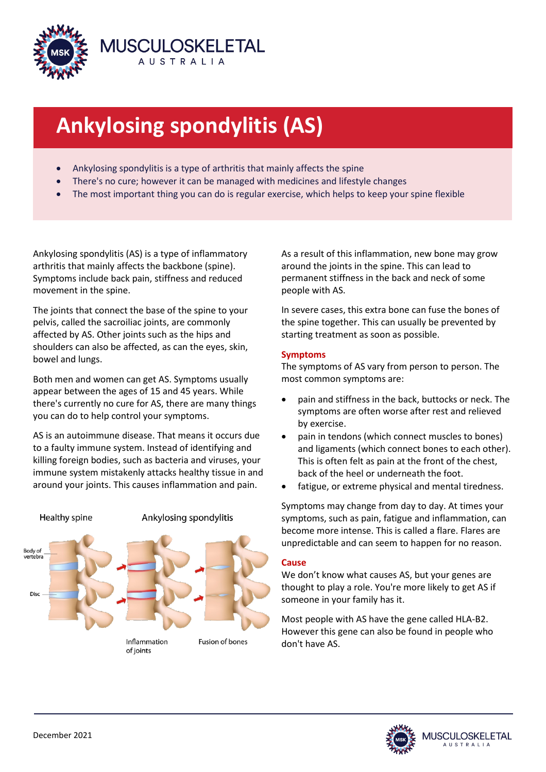

# **Ankylosing spondylitis (AS)**

- Ankylosing spondylitis is a type of arthritis that mainly affects the spine
- There's no cure; however it can be managed with medicines and lifestyle changes
- The most important thing you can do is regular exercise, which helps to keep your spine flexible

Ankylosing spondylitis (AS) is a type of inflammatory arthritis that mainly affects the backbone (spine). Symptoms include back pain, stiffness and reduced movement in the spine.

The joints that connect the base of the spine to your pelvis, called the sacroiliac joints, are commonly affected by AS. Other joints such as the hips and shoulders can also be affected, as can the eyes, skin, bowel and lungs.

Both men and women can get AS. Symptoms usually appear between the ages of 15 and 45 years. While there's currently no cure for AS, there are many things you can do to help control your symptoms.

AS is an autoimmune disease. That means it occurs due to a faulty immune system. Instead of identifying and killing foreign bodies, such as bacteria and viruses, your immune system mistakenly attacks healthy tissue in and around your joints. This causes inflammation and pain.



As a result of this inflammation, new bone may grow around the joints in the spine. This can lead to permanent stiffness in the back and neck of some people with AS.

In severe cases, this extra bone can fuse the bones of the spine together. This can usually be prevented by starting treatment as soon as possible.

# **Symptoms**

The symptoms of AS vary from person to person. The most common symptoms are:

- pain and stiffness in the back, buttocks or neck. The symptoms are often worse after rest and relieved by exercise.
- pain in tendons (which connect muscles to bones) and ligaments (which connect bones to each other). This is often felt as pain at the front of the chest, back of the heel or underneath the foot.
- fatigue, or extreme physical and mental tiredness.

Symptoms may change from day to day. At times your symptoms, such as pain, fatigue and inflammation, can become more intense. This is called a flare. Flares are unpredictable and can seem to happen for no reason.

# **Cause**

We don't know what causes AS, but your genes are thought to play a role. You're more likely to get AS if someone in your family has it.

Most people with AS have the gene called HLA-B2. However this gene can also be found in people who don't have AS.

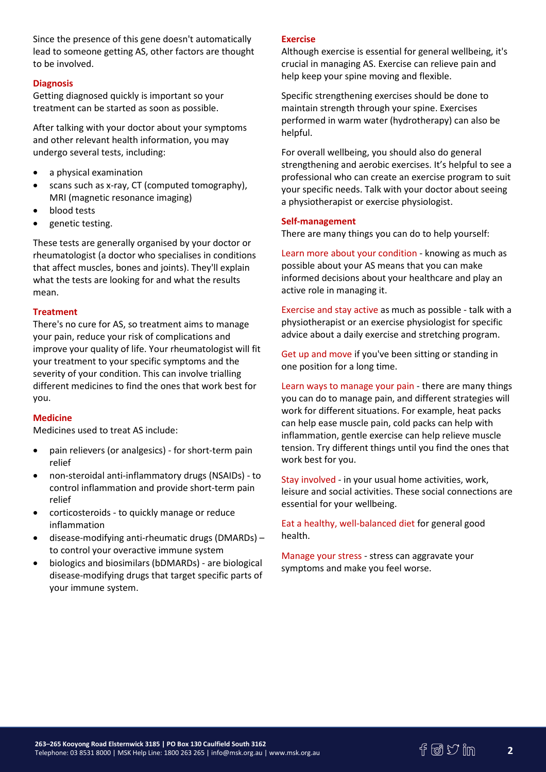Since the presence of this gene doesn't automatically lead to someone getting AS, other factors are thought to be involved.

## **Diagnosis**

Getting diagnosed quickly is important so your treatment can be started as soon as possible.

After talking with your doctor about your symptoms and other relevant health information, you may undergo several tests, including:

- a physical examination
- scans such as x-ray, CT (computed tomography), MRI (magnetic resonance imaging)
- blood tests
- genetic testing.

These tests are generally organised by your doctor or rheumatologist (a doctor who specialises in conditions that affect muscles, bones and joints). They'll explain what the tests are looking for and what the results mean.

## **Treatment**

There's no cure for AS, so treatment aims to manage your pain, reduce your risk of complications and improve your quality of life. Your rheumatologist will fit your treatment to your specific symptoms and the severity of your condition. This can involve trialling different medicines to find the ones that work best for you.

## **Medicine**

Medicines used to treat AS include:

- pain relievers (or analgesics) for short-term pain relief
- non-steroidal anti-inflammatory drugs (NSAIDs) to control inflammation and provide short-term pain relief
- corticosteroids to quickly manage or reduce inflammation
- disease-modifying anti-rheumatic drugs (DMARDs) to control your overactive immune system
- biologics and biosimilars (bDMARDs) are biological disease-modifying drugs that target specific parts of your immune system.

#### **Exercise**

Although exercise is essential for general wellbeing, it's crucial in managing AS. Exercise can relieve pain and help keep your spine moving and flexible.

Specific strengthening exercises should be done to maintain strength through your spine. Exercises performed in warm water (hydrotherapy) can also be helpful.

For overall wellbeing, you should also do general strengthening and aerobic exercises. It's helpful to see a professional who can create an exercise program to suit your specific needs. Talk with your doctor about seeing a physiotherapist or exercise physiologist.

#### **Self-management**

There are many things you can do to help yourself:

Learn more about your condition - knowing as much as possible about your AS means that you can make informed decisions about your healthcare and play an active role in managing it.

Exercise and stay active as much as possible - talk with a physiotherapist or an exercise physiologist for specific advice about a daily exercise and stretching program.

Get up and move if you've been sitting or standing in one position for a long time.

Learn ways to manage your pain - there are many things you can do to manage pain, and different strategies will work for different situations. For example, heat packs can help ease muscle pain, cold packs can help with inflammation, gentle exercise can help relieve muscle tension. Try different things until you find the ones that work best for you.

Stay involved - in your usual home activities, work, leisure and social activities. These social connections are essential for your wellbeing.

Eat a healthy, well-balanced diet for general good health.

Manage your stress - stress can aggravate your symptoms and make you feel worse.